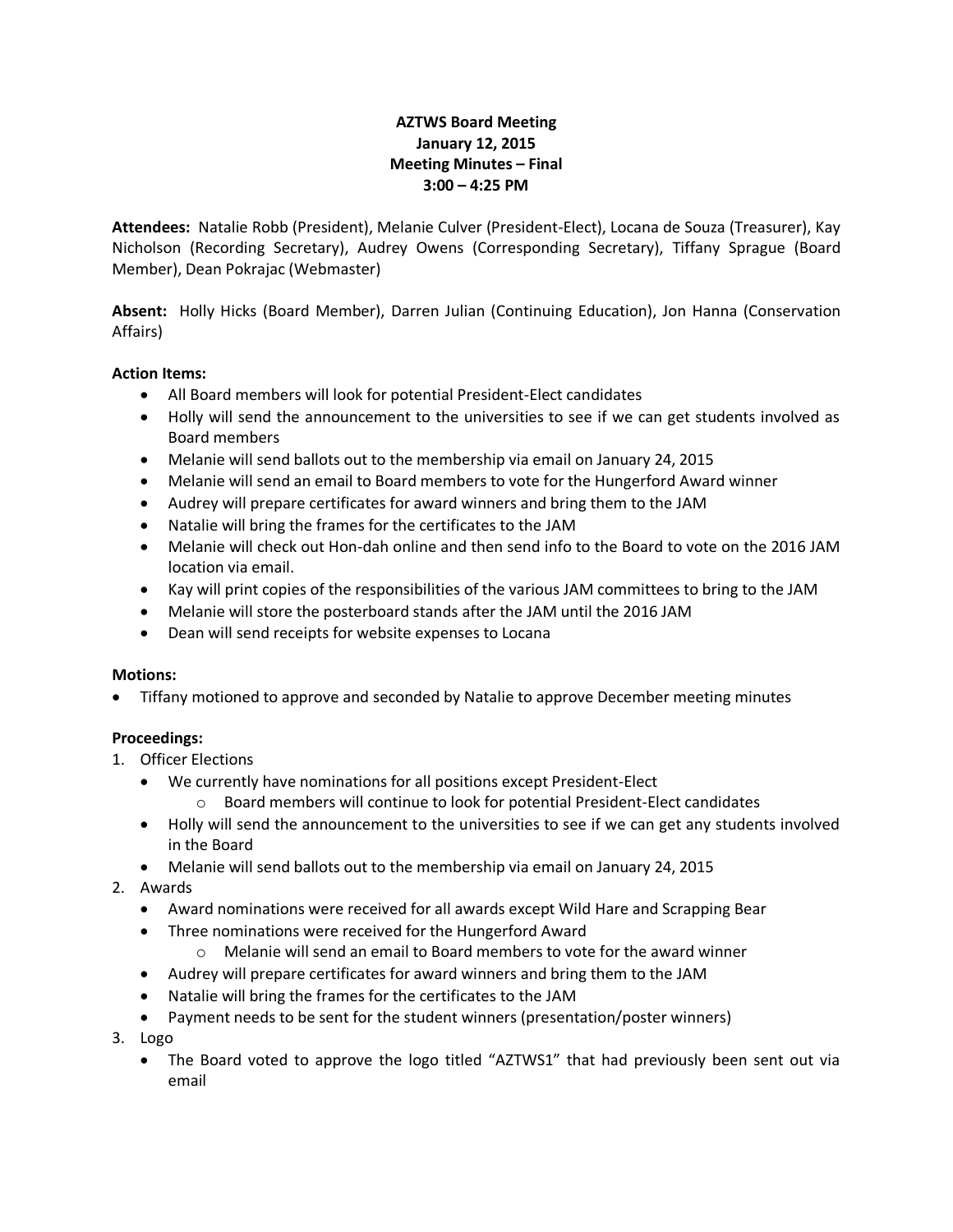## **AZTWS Board Meeting January 12, 2015 Meeting Minutes – Final 3:00 – 4:25 PM**

**Attendees:** Natalie Robb (President), Melanie Culver (President-Elect), Locana de Souza (Treasurer), Kay Nicholson (Recording Secretary), Audrey Owens (Corresponding Secretary), Tiffany Sprague (Board Member), Dean Pokrajac (Webmaster)

**Absent:** Holly Hicks (Board Member), Darren Julian (Continuing Education), Jon Hanna (Conservation Affairs)

## **Action Items:**

- All Board members will look for potential President-Elect candidates
- Holly will send the announcement to the universities to see if we can get students involved as Board members
- Melanie will send ballots out to the membership via email on January 24, 2015
- Melanie will send an email to Board members to vote for the Hungerford Award winner
- Audrey will prepare certificates for award winners and bring them to the JAM
- Natalie will bring the frames for the certificates to the JAM
- Melanie will check out Hon-dah online and then send info to the Board to vote on the 2016 JAM location via email.
- Kay will print copies of the responsibilities of the various JAM committees to bring to the JAM
- Melanie will store the posterboard stands after the JAM until the 2016 JAM
- Dean will send receipts for website expenses to Locana

## **Motions:**

Tiffany motioned to approve and seconded by Natalie to approve December meeting minutes

## **Proceedings:**

- 1. Officer Elections
	- We currently have nominations for all positions except President-Elect
		- Board members will continue to look for potential President-Elect candidates
	- Holly will send the announcement to the universities to see if we can get any students involved in the Board
	- Melanie will send ballots out to the membership via email on January 24, 2015
- 2. Awards
	- Award nominations were received for all awards except Wild Hare and Scrapping Bear
	- Three nominations were received for the Hungerford Award
		- $\circ$  Melanie will send an email to Board members to vote for the award winner
	- Audrey will prepare certificates for award winners and bring them to the JAM
	- Natalie will bring the frames for the certificates to the JAM
	- Payment needs to be sent for the student winners (presentation/poster winners)
- 3. Logo
	- The Board voted to approve the logo titled "AZTWS1" that had previously been sent out via email